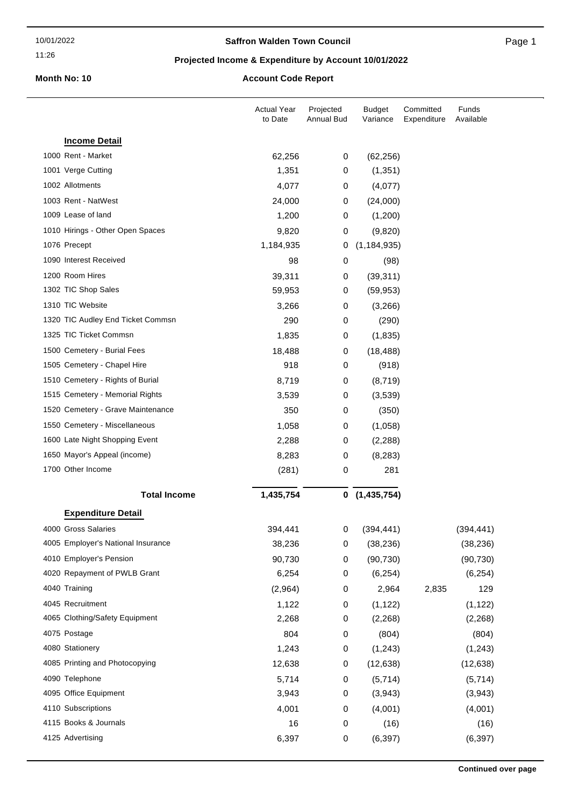#### 11:26

## **Saffron Walden Town Council**

Page 1

## **Projected Income & Expenditure by Account 10/01/2022**

# **Month No: 10 Account Code Report**

|                                                         | <b>Actual Year</b><br>to Date | Projected<br>Annual Bud | <b>Budget</b><br>Variance | Committed<br>Expenditure | Funds<br>Available |
|---------------------------------------------------------|-------------------------------|-------------------------|---------------------------|--------------------------|--------------------|
| <b>Income Detail</b>                                    |                               |                         |                           |                          |                    |
| 1000 Rent - Market                                      | 62,256                        | 0                       | (62, 256)                 |                          |                    |
| 1001 Verge Cutting                                      | 1,351                         | 0                       | (1, 351)                  |                          |                    |
| 1002 Allotments                                         | 4,077                         | 0                       | (4,077)                   |                          |                    |
| 1003 Rent - NatWest                                     | 24,000                        | 0                       | (24,000)                  |                          |                    |
| 1009 Lease of land                                      | 1,200                         | 0                       | (1,200)                   |                          |                    |
| 1010 Hirings - Other Open Spaces                        | 9,820                         | 0                       | (9,820)                   |                          |                    |
| 1076 Precept                                            | 1,184,935                     | 0                       | (1, 184, 935)             |                          |                    |
| 1090 Interest Received                                  | 98                            | 0                       | (98)                      |                          |                    |
| 1200 Room Hires                                         | 39,311                        | 0                       | (39, 311)                 |                          |                    |
| 1302 TIC Shop Sales                                     | 59,953                        | 0                       | (59, 953)                 |                          |                    |
| 1310 TIC Website                                        | 3,266                         | 0                       | (3,266)                   |                          |                    |
| 1320 TIC Audley End Ticket Commsn                       | 290                           | 0                       | (290)                     |                          |                    |
| 1325 TIC Ticket Commsn                                  | 1,835                         | 0                       | (1,835)                   |                          |                    |
| 1500 Cemetery - Burial Fees                             | 18,488                        | 0                       | (18, 488)                 |                          |                    |
| 1505 Cemetery - Chapel Hire                             | 918                           | 0                       | (918)                     |                          |                    |
| 1510 Cemetery - Rights of Burial                        | 8,719                         | 0                       | (8,719)                   |                          |                    |
| 1515 Cemetery - Memorial Rights                         | 3,539                         | 0                       | (3,539)                   |                          |                    |
| 1520 Cemetery - Grave Maintenance                       | 350                           | 0                       | (350)                     |                          |                    |
| 1550 Cemetery - Miscellaneous                           | 1,058                         | 0                       | (1,058)                   |                          |                    |
| 1600 Late Night Shopping Event                          | 2,288                         | 0                       | (2, 288)                  |                          |                    |
| 1650 Mayor's Appeal (income)                            | 8,283                         | 0                       | (8,283)                   |                          |                    |
| 1700 Other Income                                       | (281)                         | 0                       | 281                       |                          |                    |
| <b>Total Income</b>                                     | 1,435,754                     | 0                       | (1, 435, 754)             |                          |                    |
|                                                         |                               |                         |                           |                          |                    |
| <b>Expenditure Detail</b>                               |                               |                         |                           |                          |                    |
| 4000 Gross Salaries                                     | 394,441                       | 0                       | (394, 441)                |                          | (394, 441)         |
| 4005 Employer's National Insurance                      | 38,236                        | 0                       | (38, 236)                 |                          | (38, 236)          |
| 4010 Employer's Pension<br>4020 Repayment of PWLB Grant | 90,730                        | 0                       | (90, 730)                 |                          | (90, 730)          |
|                                                         | 6,254                         | 0                       | (6, 254)                  |                          | (6, 254)           |
| 4040 Training                                           | (2,964)                       | 0                       | 2,964                     | 2,835                    | 129                |
| 4045 Recruitment                                        | 1,122                         | 0                       | (1, 122)                  |                          | (1, 122)           |
| 4065 Clothing/Safety Equipment                          | 2,268                         | 0                       | (2,268)                   |                          | (2, 268)           |
| 4075 Postage                                            | 804                           | $\pmb{0}$               | (804)                     |                          | (804)              |
| 4080 Stationery                                         | 1,243                         | 0                       | (1, 243)                  |                          | (1, 243)           |
| 4085 Printing and Photocopying                          | 12,638                        | 0                       | (12, 638)                 |                          | (12, 638)          |
| 4090 Telephone                                          | 5,714                         | 0                       | (5,714)                   |                          | (5,714)            |
| 4095 Office Equipment                                   | 3,943                         | 0                       | (3,943)                   |                          | (3,943)            |
| 4110 Subscriptions                                      | 4,001                         | 0                       | (4,001)                   |                          | (4,001)            |
| 4115 Books & Journals                                   | 16                            | 0                       | (16)                      |                          | (16)               |
| 4125 Advertising                                        | 6,397                         | $\pmb{0}$               | (6, 397)                  |                          | (6, 397)           |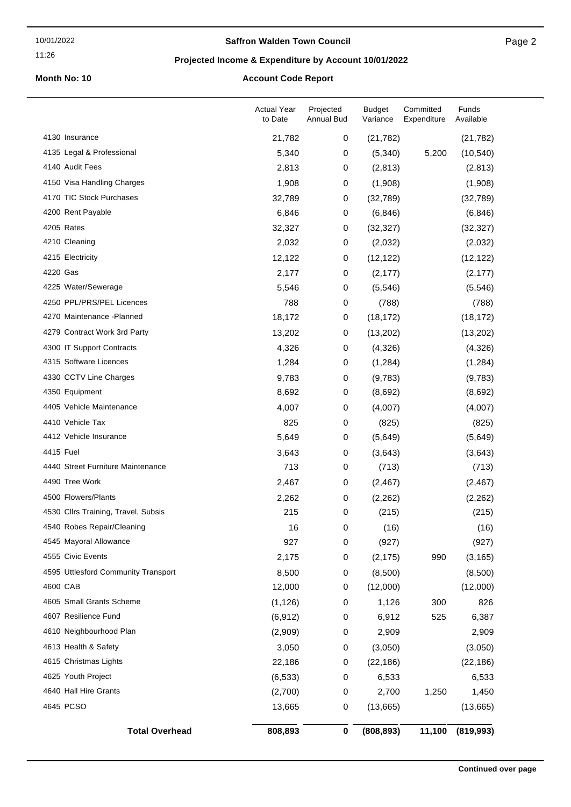## **Saffron Walden Town Council**

## **Projected Income & Expenditure by Account 10/01/2022**

# **Month No: 10 Account Code Report**

|                                     | <b>Actual Year</b><br>to Date | Projected<br>Annual Bud | <b>Budget</b><br>Variance | Committed<br>Expenditure | Funds<br>Available |
|-------------------------------------|-------------------------------|-------------------------|---------------------------|--------------------------|--------------------|
| 4130 Insurance                      | 21,782                        | 0                       | (21, 782)                 |                          | (21, 782)          |
| 4135 Legal & Professional           | 5,340                         | $\pmb{0}$               | (5,340)                   | 5,200                    | (10, 540)          |
| 4140 Audit Fees                     | 2,813                         | 0                       | (2,813)                   |                          | (2,813)            |
| 4150 Visa Handling Charges          | 1,908                         | 0                       | (1,908)                   |                          | (1,908)            |
| 4170 TIC Stock Purchases            | 32,789                        | 0                       | (32,789)                  |                          | (32,789)           |
| 4200 Rent Payable                   | 6,846                         | 0                       | (6, 846)                  |                          | (6, 846)           |
| 4205 Rates                          | 32,327                        | 0                       | (32, 327)                 |                          | (32, 327)          |
| 4210 Cleaning                       | 2,032                         | 0                       | (2,032)                   |                          | (2,032)            |
| 4215 Electricity                    | 12,122                        | 0                       | (12, 122)                 |                          | (12, 122)          |
| 4220 Gas                            | 2,177                         | 0                       | (2, 177)                  |                          | (2, 177)           |
| 4225 Water/Sewerage                 | 5,546                         | 0                       | (5, 546)                  |                          | (5, 546)           |
| 4250 PPL/PRS/PEL Licences           | 788                           | $\,0\,$                 | (788)                     |                          | (788)              |
| 4270 Maintenance - Planned          | 18,172                        | 0                       | (18, 172)                 |                          | (18, 172)          |
| 4279 Contract Work 3rd Party        | 13,202                        | 0                       | (13,202)                  |                          | (13,202)           |
| 4300 IT Support Contracts           | 4,326                         | 0                       | (4,326)                   |                          | (4,326)            |
| 4315 Software Licences              | 1,284                         | 0                       | (1, 284)                  |                          | (1,284)            |
| 4330 CCTV Line Charges              | 9,783                         | 0                       | (9,783)                   |                          | (9,783)            |
| 4350 Equipment                      | 8,692                         | 0                       | (8,692)                   |                          | (8,692)            |
| 4405 Vehicle Maintenance            | 4,007                         | 0                       | (4,007)                   |                          | (4,007)            |
| 4410 Vehicle Tax                    | 825                           | 0                       | (825)                     |                          | (825)              |
| 4412 Vehicle Insurance              | 5,649                         | 0                       | (5,649)                   |                          | (5,649)            |
| 4415 Fuel                           | 3,643                         | 0                       | (3,643)                   |                          | (3,643)            |
| 4440 Street Furniture Maintenance   | 713                           | 0                       | (713)                     |                          | (713)              |
| 4490 Tree Work                      | 2,467                         | 0                       | (2, 467)                  |                          | (2,467)            |
| 4500 Flowers/Plants                 | 2,262                         | 0                       | (2, 262)                  |                          | (2, 262)           |
| 4530 Cllrs Training, Travel, Subsis | 215                           | 0                       | (215)                     |                          | (215)              |
| 4540 Robes Repair/Cleaning          | 16                            | 0                       | (16)                      |                          | (16)               |
| 4545 Mayoral Allowance              | 927                           | 0                       | (927)                     |                          | (927)              |
| 4555 Civic Events                   | 2,175                         | 0                       | (2, 175)                  | 990                      | (3, 165)           |
| 4595 Uttlesford Community Transport | 8,500                         | 0                       | (8,500)                   |                          | (8,500)            |
| 4600 CAB                            | 12,000                        | 0                       | (12,000)                  |                          | (12,000)           |
| 4605 Small Grants Scheme            | (1, 126)                      | 0                       | 1,126                     | 300                      | 826                |
| 4607 Resilience Fund                | (6, 912)                      | 0                       | 6,912                     | 525                      | 6,387              |
| 4610 Neighbourhood Plan             | (2,909)                       | 0                       | 2,909                     |                          | 2,909              |
| 4613 Health & Safety                | 3,050                         | 0                       | (3,050)                   |                          | (3,050)            |
| 4615 Christmas Lights               | 22,186                        | 0                       | (22, 186)                 |                          | (22, 186)          |
| 4625 Youth Project                  | (6, 533)                      | 0                       | 6,533                     |                          | 6,533              |
| 4640 Hall Hire Grants               | (2,700)                       | 0                       | 2,700                     | 1,250                    | 1,450              |
| 4645 PCSO                           | 13,665                        | 0                       | (13,665)                  |                          | (13,665)           |
| <b>Total Overhead</b>               | 808,893                       | $\pmb{0}$               | (808, 893)                | 11,100                   | (819, 993)         |